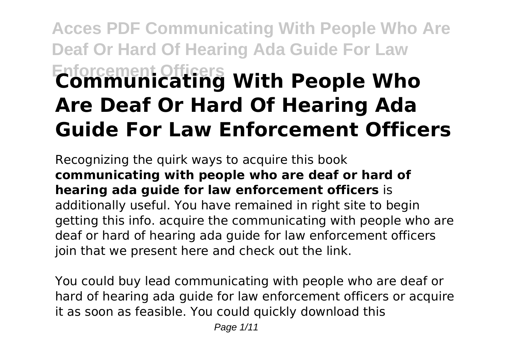# **Acces PDF Communicating With People Who Are Deaf Or Hard Of Hearing Ada Guide For Law Enforcement Officers Communicating With People Who Are Deaf Or Hard Of Hearing Ada Guide For Law Enforcement Officers**

Recognizing the quirk ways to acquire this book **communicating with people who are deaf or hard of hearing ada guide for law enforcement officers** is additionally useful. You have remained in right site to begin getting this info. acquire the communicating with people who are deaf or hard of hearing ada guide for law enforcement officers join that we present here and check out the link.

You could buy lead communicating with people who are deaf or hard of hearing ada guide for law enforcement officers or acquire it as soon as feasible. You could quickly download this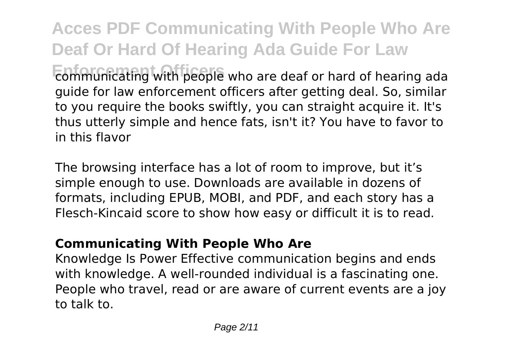**Acces PDF Communicating With People Who Are Deaf Or Hard Of Hearing Ada Guide For Law Enforcement Officers** communicating with people who are deaf or hard of hearing ada guide for law enforcement officers after getting deal. So, similar to you require the books swiftly, you can straight acquire it. It's thus utterly simple and hence fats, isn't it? You have to favor to in this flavor

The browsing interface has a lot of room to improve, but it's simple enough to use. Downloads are available in dozens of formats, including EPUB, MOBI, and PDF, and each story has a Flesch-Kincaid score to show how easy or difficult it is to read.

# **Communicating With People Who Are**

Knowledge Is Power Effective communication begins and ends with knowledge. A well-rounded individual is a fascinating one. People who travel, read or are aware of current events are a joy to talk to.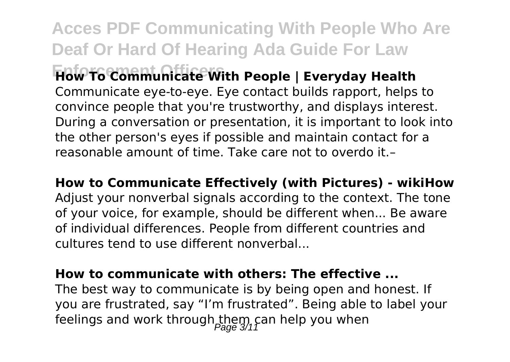**Acces PDF Communicating With People Who Are Deaf Or Hard Of Hearing Ada Guide For Law Enforcement Officers How To Communicate With People | Everyday Health** Communicate eye-to-eye. Eye contact builds rapport, helps to convince people that you're trustworthy, and displays interest. During a conversation or presentation, it is important to look into the other person's eyes if possible and maintain contact for a reasonable amount of time. Take care not to overdo it.–

**How to Communicate Effectively (with Pictures) - wikiHow** Adjust your nonverbal signals according to the context. The tone of your voice, for example, should be different when... Be aware of individual differences. People from different countries and cultures tend to use different nonverbal...

#### **How to communicate with others: The effective ...**

The best way to communicate is by being open and honest. If you are frustrated, say "I'm frustrated". Being able to label your feelings and work through  $t_{\text{max}}$  can help you when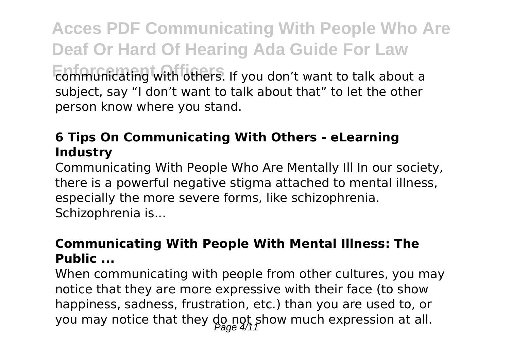**Acces PDF Communicating With People Who Are Deaf Or Hard Of Hearing Ada Guide For Law Enforcement Officers** communicating with others. If you don't want to talk about a subject, say "I don't want to talk about that" to let the other person know where you stand.

# **6 Tips On Communicating With Others - eLearning Industry**

Communicating With People Who Are Mentally Ill In our society, there is a powerful negative stigma attached to mental illness, especially the more severe forms, like schizophrenia. Schizophrenia is...

# **Communicating With People With Mental Illness: The Public ...**

When communicating with people from other cultures, you may notice that they are more expressive with their face (to show happiness, sadness, frustration, etc.) than you are used to, or you may notice that they  $\lim_{\beta \to \infty}$  show much expression at all.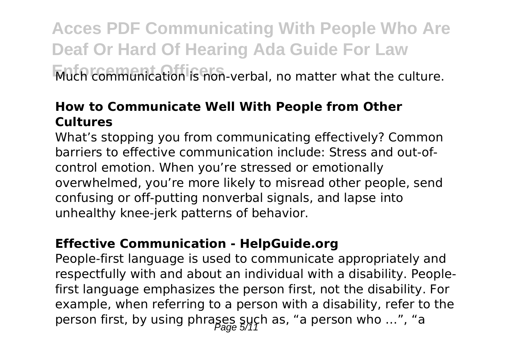# **Acces PDF Communicating With People Who Are Deaf Or Hard Of Hearing Ada Guide For Law Frach communication is non-verbal, no matter what the culture.**

## **How to Communicate Well With People from Other Cultures**

What's stopping you from communicating effectively? Common barriers to effective communication include: Stress and out-ofcontrol emotion. When you're stressed or emotionally overwhelmed, you're more likely to misread other people, send confusing or off-putting nonverbal signals, and lapse into unhealthy knee-jerk patterns of behavior.

#### **Effective Communication - HelpGuide.org**

People-first language is used to communicate appropriately and respectfully with and about an individual with a disability. Peoplefirst language emphasizes the person first, not the disability. For example, when referring to a person with a disability, refer to the person first, by using phrages such as, "a person who ...", "a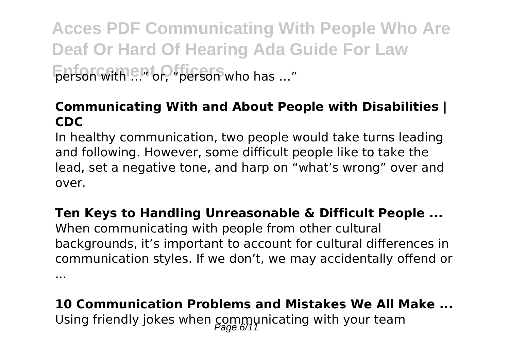**Acces PDF Communicating With People Who Are Deaf Or Hard Of Hearing Ada Guide For Law Enforcement Officers** who has …"

#### **Communicating With and About People with Disabilities | CDC**

In healthy communication, two people would take turns leading and following. However, some difficult people like to take the lead, set a negative tone, and harp on "what's wrong" over and over.

**Ten Keys to Handling Unreasonable & Difficult People ...** When communicating with people from other cultural backgrounds, it's important to account for cultural differences in communication styles. If we don't, we may accidentally offend or ...

**10 Communication Problems and Mistakes We All Make ...** Using friendly jokes when  $\underset{\text{Page 6/11}}{\text{Common}}$  with your team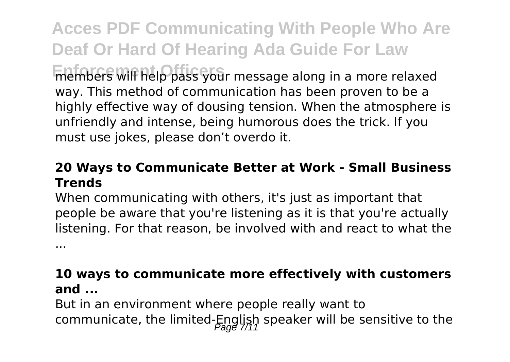**Acces PDF Communicating With People Who Are Deaf Or Hard Of Hearing Ada Guide For Law** members will help pass your message along in a more relaxed way. This method of communication has been proven to be a

highly effective way of dousing tension. When the atmosphere is unfriendly and intense, being humorous does the trick. If you must use jokes, please don't overdo it.

#### **20 Ways to Communicate Better at Work - Small Business Trends**

When communicating with others, it's just as important that people be aware that you're listening as it is that you're actually listening. For that reason, be involved with and react to what the

...

## **10 ways to communicate more effectively with customers and ...**

But in an environment where people really want to communicate, the limited-English speaker will be sensitive to the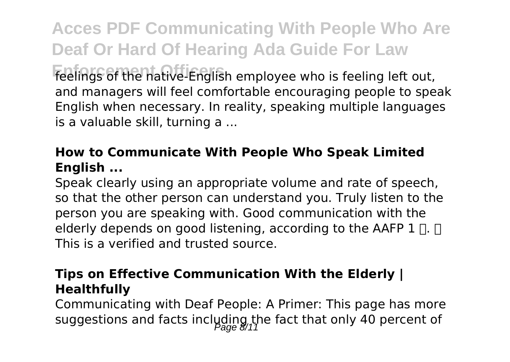**Acces PDF Communicating With People Who Are Deaf Or Hard Of Hearing Ada Guide For Law** feelings of the native-English employee who is feeling left out, and managers will feel comfortable encouraging people to speak English when necessary. In reality, speaking multiple languages is a valuable skill, turning a ...

# **How to Communicate With People Who Speak Limited English ...**

Speak clearly using an appropriate volume and rate of speech, so that the other person can understand you. Truly listen to the person you are speaking with. Good communication with the elderly depends on good listening, according to the AAFP  $1 \sqcap$ .  $\sqcap$ This is a verified and trusted source.

#### **Tips on Effective Communication With the Elderly | Healthfully**

Communicating with Deaf People: A Primer: This page has more suggestions and facts including the fact that only 40 percent of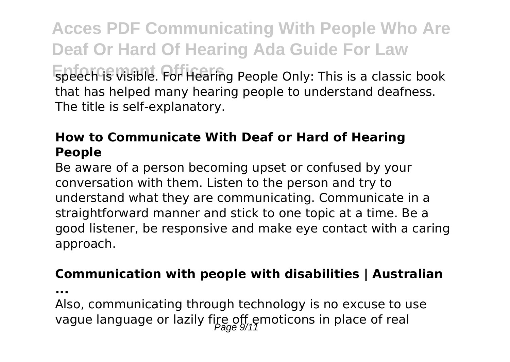**Acces PDF Communicating With People Who Are Deaf Or Hard Of Hearing Ada Guide For Law Enforcement Of Speech is Visible. For Hearing People Only: This is a classic book** that has helped many hearing people to understand deafness. The title is self-explanatory.

# **How to Communicate With Deaf or Hard of Hearing People**

Be aware of a person becoming upset or confused by your conversation with them. Listen to the person and try to understand what they are communicating. Communicate in a straightforward manner and stick to one topic at a time. Be a good listener, be responsive and make eye contact with a caring approach.

#### **Communication with people with disabilities | Australian**

**...**

Also, communicating through technology is no excuse to use vague language or lazily fire off emoticons in place of real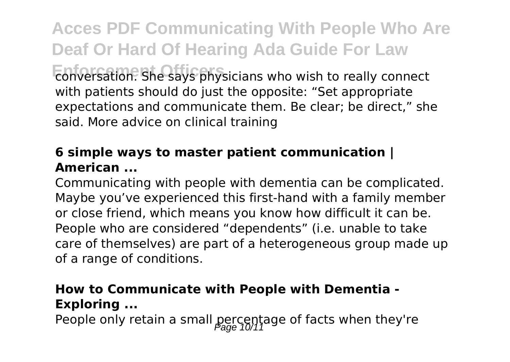**Acces PDF Communicating With People Who Are Deaf Or Hard Of Hearing Ada Guide For Law Enforcement Officers** conversation. She says physicians who wish to really connect with patients should do just the opposite: "Set appropriate expectations and communicate them. Be clear; be direct," she said. More advice on clinical training

# **6 simple ways to master patient communication | American ...**

Communicating with people with dementia can be complicated. Maybe you've experienced this first-hand with a family member or close friend, which means you know how difficult it can be. People who are considered "dependents" (i.e. unable to take care of themselves) are part of a heterogeneous group made up of a range of conditions.

# **How to Communicate with People with Dementia - Exploring ...**

People only retain a small percentage of facts when they're